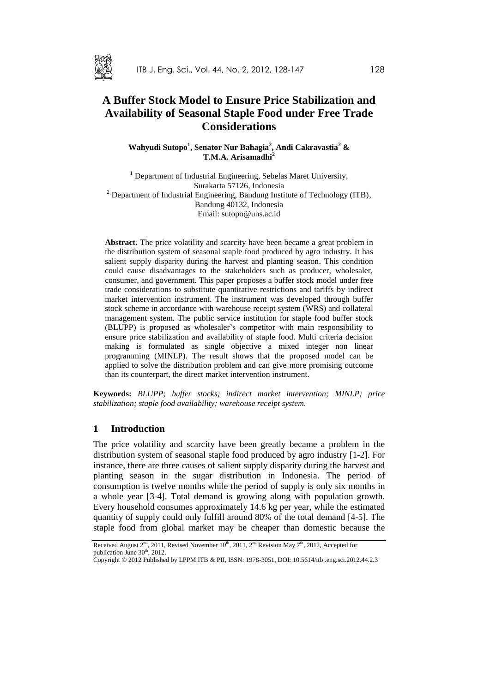

# **A Buffer Stock Model to Ensure Price Stabilization and Availability of Seasonal Staple Food under Free Trade Considerations**

**Wahyudi Sutopo<sup>1</sup> , Senator Nur Bahagia<sup>2</sup> , Andi Cakravastia<sup>2</sup> & T.M.A. Arisamadhi<sup>2</sup>**

<sup>1</sup> Department of Industrial Engineering, Sebelas Maret University, Surakarta 57126, Indonesia <sup>2</sup> Department of Industrial Engineering, Bandung Institute of Technology (ITB), Bandung 40132, Indonesia Email: sutopo@uns.ac.id

**Abstract.** The price volatility and scarcity have been became a great problem in the distribution system of seasonal staple food produced by agro industry. It has salient supply disparity during the harvest and planting season. This condition could cause disadvantages to the stakeholders such as producer, wholesaler, consumer, and government. This paper proposes a buffer stock model under free trade considerations to substitute quantitative restrictions and tariffs by indirect market intervention instrument. The instrument was developed through buffer stock scheme in accordance with warehouse receipt system (WRS) and collateral management system. The public service institution for staple food buffer stock (BLUPP) is proposed as wholesaler's competitor with main responsibility to ensure price stabilization and availability of staple food. Multi criteria decision making is formulated as single objective a mixed integer non linear programming (MINLP). The result shows that the proposed model can be applied to solve the distribution problem and can give more promising outcome than its counterpart, the direct market intervention instrument.

**Keywords:** *BLUPP; buffer stocks; indirect market intervention; MINLP; price stabilization; staple food availability; warehouse receipt system.*

#### **1 Introduction**

The price volatility and scarcity have been greatly became a problem in the distribution system of seasonal staple food produced by agro industry [1-2]. For instance, there are three causes of salient supply disparity during the harvest and planting season in the sugar distribution in Indonesia. The period of consumption is twelve months while the period of supply is only six months in a whole year [3-4]. Total demand is growing along with population growth. Every household consumes approximately 14.6 kg per year, while the estimated quantity of supply could only fulfill around 80% of the total demand [4-5]. The staple food from global market may be cheaper than domestic because the

Received August  $2<sup>nd</sup>$ , 2011, Revised November 10<sup>th</sup>, 2011,  $2<sup>nd</sup>$  Revision May 7<sup>th</sup>, 2012, Accepted for publication June 30<sup>th</sup>, 2012.

Copyright © 2012 Published by LPPM ITB & PII, ISSN: 1978-3051, DOI: 10.5614/itbj.eng.sci.2012.44.2.3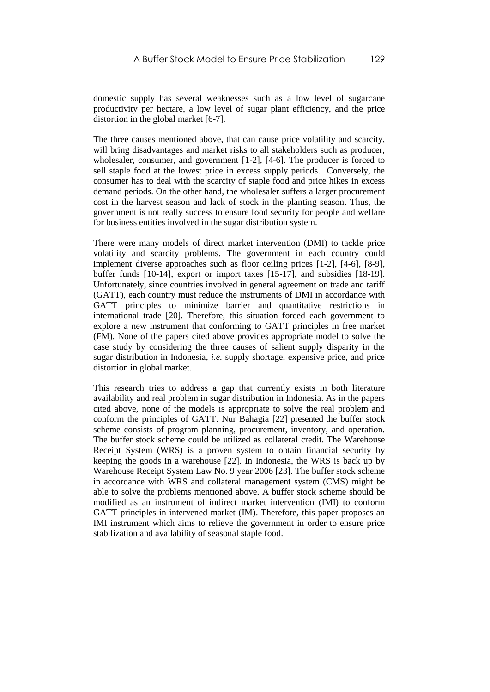domestic supply has several weaknesses such as a low level of sugarcane productivity per hectare, a low level of sugar plant efficiency, and the price distortion in the global market [6-7].

The three causes mentioned above, that can cause price volatility and scarcity, will bring disadvantages and market risks to all stakeholders such as producer, wholesaler, consumer, and government [1-2], [4-6]. The producer is forced to sell staple food at the lowest price in excess supply periods. Conversely, the consumer has to deal with the scarcity of staple food and price hikes in excess demand periods. On the other hand, the wholesaler suffers a larger procurement cost in the harvest season and lack of stock in the planting season. Thus, the government is not really success to ensure food security for people and welfare for business entities involved in the sugar distribution system.

There were many models of direct market intervention (DMI) to tackle price volatility and scarcity problems. The government in each country could implement diverse approaches such as floor ceiling prices [1-2], [4-6], [8-9], buffer funds [10-14], export or import taxes [15-17], and subsidies [18-19]. Unfortunately, since countries involved in general agreement on trade and tariff (GATT), each country must reduce the instruments of DMI in accordance with GATT principles to minimize barrier and quantitative restrictions in international trade [20]. Therefore, this situation forced each government to explore a new instrument that conforming to GATT principles in free market (FM). None of the papers cited above provides appropriate model to solve the case study by considering the three causes of salient supply disparity in the sugar distribution in Indonesia, *i.e.* supply shortage, expensive price, and price distortion in global market.

This research tries to address a gap that currently exists in both literature availability and real problem in sugar distribution in Indonesia. As in the papers cited above, none of the models is appropriate to solve the real problem and conform the principles of GATT. Nur Bahagia [22] presented the buffer stock scheme consists of program planning, procurement, inventory, and operation. The buffer stock scheme could be utilized as collateral credit. The Warehouse Receipt System (WRS) is a proven system to obtain financial security by keeping the goods in a warehouse [22]. In Indonesia, the WRS is back up by Warehouse Receipt System Law No. 9 year 2006 [23]. The buffer stock scheme in accordance with WRS and collateral management system (CMS) might be able to solve the problems mentioned above. A buffer stock scheme should be modified as an instrument of indirect market intervention (IMI) to conform GATT principles in intervened market (IM). Therefore, this paper proposes an IMI instrument which aims to relieve the government in order to ensure price stabilization and availability of seasonal staple food.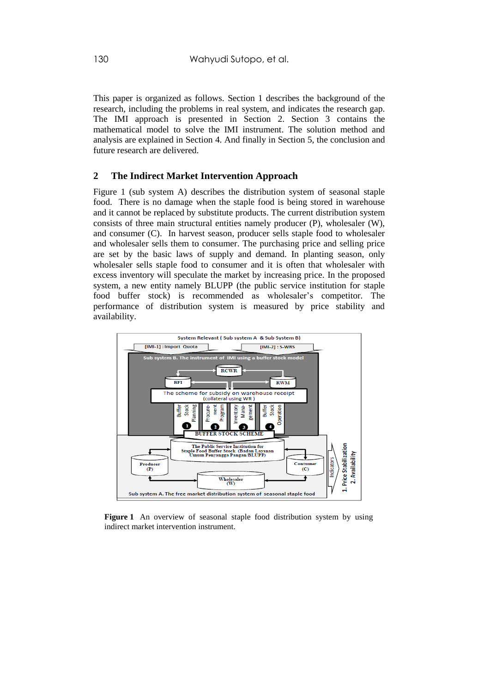This paper is organized as follows. Section 1 describes the background of the research, including the problems in real system, and indicates the research gap. The IMI approach is presented in Section 2. Section 3 contains the mathematical model to solve the IMI instrument. The solution method and analysis are explained in Section 4. And finally in Section 5, the conclusion and future research are delivered.

# **2 The Indirect Market Intervention Approach**

Figure 1 (sub system A) describes the distribution system of seasonal staple food. There is no damage when the staple food is being stored in warehouse and it cannot be replaced by substitute products. The current distribution system consists of three main structural entities namely producer (P), wholesaler (W), and consumer (C). In harvest season, producer sells staple food to wholesaler and wholesaler sells them to consumer. The purchasing price and selling price are set by the basic laws of supply and demand. In planting season, only wholesaler sells staple food to consumer and it is often that wholesaler with excess inventory will speculate the market by increasing price. In the proposed system, a new entity namely BLUPP (the public service institution for staple food buffer stock) is recommended as wholesaler's competitor. The performance of distribution system is measured by price stability and availability.



Figure 1 An overview of seasonal staple food distribution system by using indirect market intervention instrument.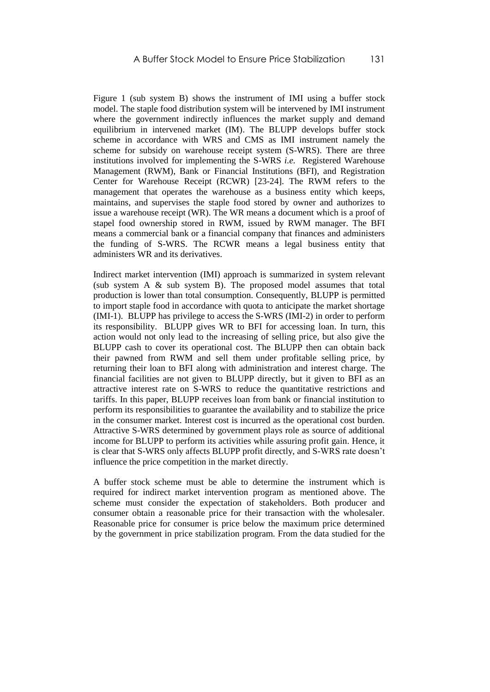Figure 1 (sub system B) shows the instrument of IMI using a buffer stock model. The staple food distribution system will be intervened by IMI instrument where the government indirectly influences the market supply and demand equilibrium in intervened market (IM). The BLUPP develops buffer stock scheme in accordance with WRS and CMS as IMI instrument namely the scheme for subsidy on warehouse receipt system (S-WRS). There are three institutions involved for implementing the S-WRS *i.e.* Registered Warehouse Management (RWM), Bank or Financial Institutions (BFI), and Registration Center for Warehouse Receipt (RCWR) [23-24]. The RWM refers to the management that operates the warehouse as a business entity which keeps, maintains, and supervises the staple food stored by owner and authorizes to issue a warehouse receipt (WR). The WR means a document which is a proof of stapel food ownership stored in RWM, issued by RWM manager. The BFI means a commercial bank or a financial company that finances and administers the funding of S-WRS. The RCWR means a legal business entity that administers WR and its derivatives.

Indirect market intervention (IMI) approach is summarized in system relevant (sub system A & sub system B). The proposed model assumes that total production is lower than total consumption. Consequently, BLUPP is permitted to import staple food in accordance with quota to anticipate the market shortage (IMI-1). BLUPP has privilege to access the S-WRS (IMI-2) in order to perform its responsibility. BLUPP gives WR to BFI for accessing loan. In turn, this action would not only lead to the increasing of selling price, but also give the BLUPP cash to cover its operational cost. The BLUPP then can obtain back their pawned from RWM and sell them under profitable selling price, by returning their loan to BFI along with administration and interest charge. The financial facilities are not given to BLUPP directly, but it given to BFI as an attractive interest rate on S-WRS to reduce the quantitative restrictions and tariffs. In this paper, BLUPP receives loan from bank or financial institution to perform its responsibilities to guarantee the availability and to stabilize the price in the consumer market. Interest cost is incurred as the operational cost burden. Attractive S-WRS determined by government plays role as source of additional income for BLUPP to perform its activities while assuring profit gain. Hence, it is clear that S-WRS only affects BLUPP profit directly, and S-WRS rate doesn't influence the price competition in the market directly.

A buffer stock scheme must be able to determine the instrument which is required for indirect market intervention program as mentioned above. The scheme must consider the expectation of stakeholders. Both producer and consumer obtain a reasonable price for their transaction with the wholesaler. Reasonable price for consumer is price below the maximum price determined by the government in price stabilization program. From the data studied for the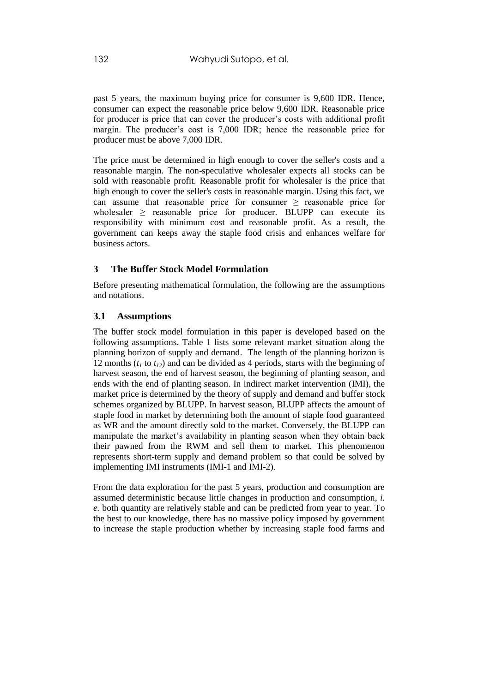past 5 years, the maximum buying price for consumer is 9,600 IDR. Hence, consumer can expect the reasonable price below 9,600 IDR. Reasonable price for producer is price that can cover the producer's costs with additional profit margin. The producer's cost is 7,000 IDR; hence the reasonable price for producer must be above 7,000 IDR.

The price must be determined in high enough to cover the seller's costs and a reasonable margin. The non-speculative wholesaler expects all stocks can be sold with reasonable profit. Reasonable profit for wholesaler is the price that high enough to cover the seller's costs in reasonable margin. Using this fact, we can assume that reasonable price for consumer  $\geq$  reasonable price for wholesaler  $\geq$  reasonable price for producer. BLUPP can execute its responsibility with minimum cost and reasonable profit. As a result, the government can keeps away the staple food crisis and enhances welfare for business actors.

### **3 The Buffer Stock Model Formulation**

Before presenting mathematical formulation, the following are the assumptions and notations.

#### **3.1 Assumptions**

The buffer stock model formulation in this paper is developed based on the following assumptions. Table 1 lists some relevant market situation along the planning horizon of supply and demand. The length of the planning horizon is 12 months (*t<sup>1</sup>* to *t12*) and can be divided as 4 periods, starts with the beginning of harvest season, the end of harvest season, the beginning of planting season, and ends with the end of planting season. In indirect market intervention (IMI), the market price is determined by the theory of supply and demand and buffer stock schemes organized by BLUPP. In harvest season, BLUPP affects the amount of staple food in market by determining both the amount of staple food guaranteed as WR and the amount directly sold to the market. Conversely, the BLUPP can manipulate the market's availability in planting season when they obtain back their pawned from the RWM and sell them to market. This phenomenon represents short-term supply and demand problem so that could be solved by implementing IMI instruments (IMI-1 and IMI-2).

From the data exploration for the past 5 years, production and consumption are assumed deterministic because little changes in production and consumption, *i. e.* both quantity are relatively stable and can be predicted from year to year. To the best to our knowledge, there has no massive policy imposed by government to increase the staple production whether by increasing staple food farms and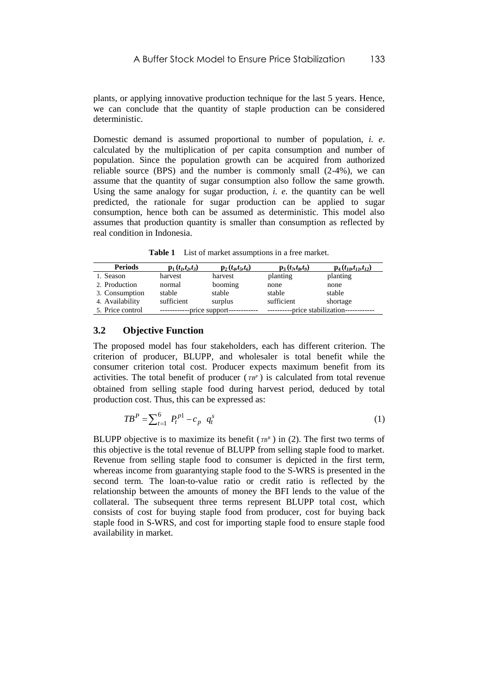plants, or applying innovative production technique for the last 5 years. Hence, we can conclude that the quantity of staple production can be considered deterministic.

Domestic demand is assumed proportional to number of population, *i. e*. calculated by the multiplication of per capita consumption and number of population. Since the population growth can be acquired from authorized reliable source (BPS) and the number is commonly small (2-4%), we can assume that the quantity of sugar consumption also follow the same growth. Using the same analogy for sugar production, *i. e.* the quantity can be well predicted, the rationale for sugar production can be applied to sugar consumption, hence both can be assumed as deterministic. This model also assumes that production quantity is smaller than consumption as reflected by real condition in Indonesia.

**Table 1** List of market assumptions in a free market.

| <b>Periods</b>   | ${\bf p}_1(t_1,t_2,t_3)$ | $p_2(t_4,t_5,t_6)$ | ${\bf p}_3(t_7,t_8,t_9)$ | $p_4(t_{10}, t_{11}, t_{12})$ |  |
|------------------|--------------------------|--------------------|--------------------------|-------------------------------|--|
| 1. Season        | harvest                  | harvest            | planting                 | planting                      |  |
| 2. Production    | normal                   | booming            | none                     | none                          |  |
| 3. Consumption   | stable                   | stable             | stable                   | stable                        |  |
| 4. Availability  | sufficient               | surplus            | sufficient               | shortage                      |  |
| 5. Price control | -price support--         |                    | -price stabilization-    |                               |  |

#### **3.2 Objective Function**

The proposed model has four stakeholders, each has different criterion. The criterion of producer, BLUPP, and wholesaler is total benefit while the consumer criterion total cost. Producer expects maximum benefit from its activities. The total benefit of producer  $(\tau B^P)$  is calculated from total revenue obtained from selling staple food during harvest period, deduced by total production cost. Thus, this can be expressed as:

$$
TB^{P} = \sum_{t=1}^{6} P_{t}^{p1} - c_{p} q_{t}^{s}
$$
 (1)

BLUPP objective is to maximize its benefit  $(\tau B^B)$  in (2). The first two terms of this objective is the total revenue of BLUPP from selling staple food to market. Revenue from selling staple food to consumer is depicted in the first term, whereas income from guarantying staple food to the S-WRS is presented in the second term. The loan-to-value ratio or credit ratio is reflected by the relationship between the amounts of money the BFI lends to the value of the collateral. The subsequent three terms represent BLUPP total cost, which consists of cost for buying staple food from producer, cost for buying back staple food in S-WRS, and cost for importing staple food to ensure staple food availability in market.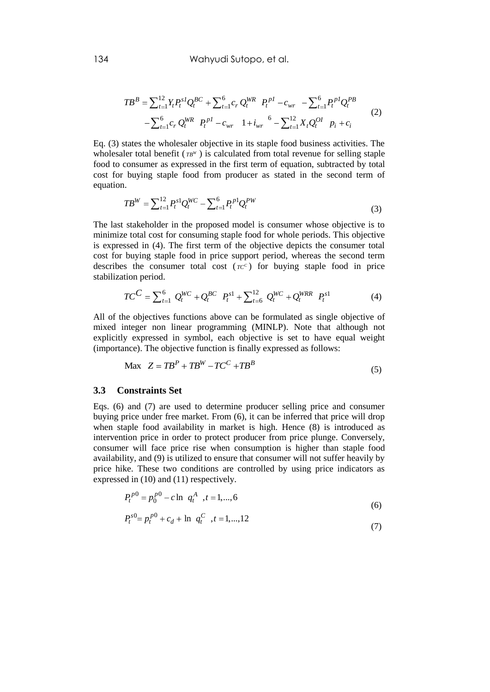$$
TB^{B} = \sum_{t=1}^{12} Y_{t} P_{t}^{sI} Q_{t}^{BC} + \sum_{t=1}^{6} c_{r} Q_{t}^{WR} P_{t}^{pl} - c_{wr} - \sum_{t=1}^{6} P_{t}^{pl} Q_{t}^{PB}
$$
  
- 
$$
\sum_{t=1}^{6} c_{r} Q_{t}^{WR} P_{t}^{pl} - c_{wr} 1 + i_{wr} {}^{6} - \sum_{t=1}^{12} X_{t} Q_{t}^{OI} P_{t} + c_{i}
$$
 (2)

Eq. (3) states the wholesaler objective in its staple food business activities. The wholesaler total benefit  $(TB^W)$  is calculated from total revenue for selling staple food to consumer as expressed in the first term of equation, subtracted by total cost for buying staple food from producer as stated in the second term of equation.

$$
TB^{W} = \sum_{t=1}^{12} P_t^{s1} Q_t^{WC} - \sum_{t=1}^{6} P_t^{p1} Q_t^{PW}
$$
\n(3)

The last stakeholder in the proposed model is consumer whose objective is to minimize total cost for consuming staple food for whole periods. This objective is expressed in (4). The first term of the objective depicts the consumer total cost for buying staple food in price support period, whereas the second term describes the consumer total cost  $(rc^c)$  for buying staple food in price stabilization period.

tion period.  
\n
$$
TC^{C} = \sum_{t=1}^{6} Q_{t}^{WC} + Q_{t}^{BC} P_{t}^{s1} + \sum_{t=6}^{12} Q_{t}^{WC} + Q_{t}^{WRR} P_{t}^{s1}
$$
\n(4)

All of the objectives functions above can be formulated as single objective of mixed integer non linear programming (MINLP). Note that although not explicitly expressed in symbol, each objective is set to have equal weight (importance). The objective function is finally expressed as follows:

$$
\text{Max } Z = TB^{P} + TB^{W} - TC^{C} + TB^{B}
$$
\n
$$
(5)
$$

#### **3.3 Constraints Set**

Eqs. (6) and (7) are used to determine producer selling price and consumer buying price under free market. From (6), it can be inferred that price will drop when staple food availability in market is high. Hence (8) is introduced as intervention price in order to protect producer from price plunge. Conversely, consumer will face price rise when consumption is higher than staple food availability, and (9) is utilized to ensure that consumer will not suffer heavily by price hike. These two conditions are controlled by using price indicators as expressed in (10) and (11) respectively.

$$
P_t^{p0} = p_0^{p0} - c \ln q_t^A , t = 1,...,6
$$
  
\n
$$
P_t^{p0} = p_0^{p0} - c \ln q_t^A , t = 1,...,6
$$
 (6)

$$
P_t^{s0} = p_t^{p0} + c_d + \ln q_t^C, t = 1,...,12
$$
\n(7)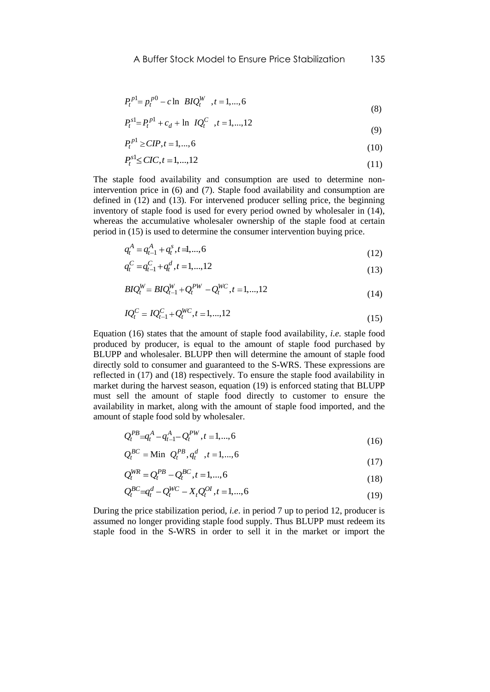$$
P_t^{p1} = p_t^{p0} - c \ln B I Q_t^W, \quad t = 1, \dots, 6
$$
 (8)

$$
P_t^{s1} = P_t^{p1} + c_d + \ln \, IQ_t^C \quad , t = 1, \dots, 12 \tag{9}
$$

$$
P_t^{p1} \ge CIP, t = 1, ..., 6
$$
\n(10)

$$
P_t^{s1} \leq CIC, t = 1, ..., 12
$$
\n(11)

The staple food availability and consumption are used to determine nonintervention price in (6) and (7). Staple food availability and consumption are defined in (12) and (13). For intervened producer selling price, the beginning inventory of staple food is used for every period owned by wholesaler in (14), whereas the accumulative wholesaler ownership of the staple food at certain period in (15) is used to determine the consumer intervention buying price.

$$
q_t^A = q_{t-1}^A + q_t^s, t = 1, \dots, 6
$$
\n(12)

$$
q_t^C = q_{t-1}^C + q_t^d, t = 1, \dots, 12
$$
\n(13)

$$
B I Q_t^W = B I Q_{t-1}^W + Q_t^{PW} - Q_t^{WC}, t = 1, ..., 12
$$
\n(14)

$$
IQ_t^C = IQ_{t-1}^C + Q_t^{WC}, t = 1, \dots, 12
$$
\n(15)

Equation (16) states that the amount of staple food availability, *i.e.* staple food produced by producer, is equal to the amount of staple food purchased by BLUPP and wholesaler. BLUPP then will determine the amount of staple food directly sold to consumer and guaranteed to the S-WRS. These expressions are reflected in (17) and (18) respectively. To ensure the staple food availability in market during the harvest season, equation (19) is enforced stating that BLUPP must sell the amount of staple food directly to customer to ensure the availability in market, along with the amount of staple food imported, and the amount of staple food sold by wholesaler.

$$
Q_t^{PB} = q_t^A - q_{t-1}^A - Q_t^{PW}, t = 1, ..., 6
$$
\n(16)

$$
Q_t^{BC} = \text{Min } Q_t^{PB}, q_t^d, t = 1, ..., 6
$$
 (17)

$$
Q_t^{WR} = Q_t^{PB} - Q_t^{BC}, t = 1, ..., 6
$$
\n(18)

$$
Q_t^{BC} = q_t^d - Q_t^{WC} - X_t Q_t^{OI}, t = 1, ..., 6
$$
\n(18)

During the price stabilization period, *i.e*. in period 7 up to period 12, producer is assumed no longer providing staple food supply. Thus BLUPP must redeem its staple food in the S-WRS in order to sell it in the market or import the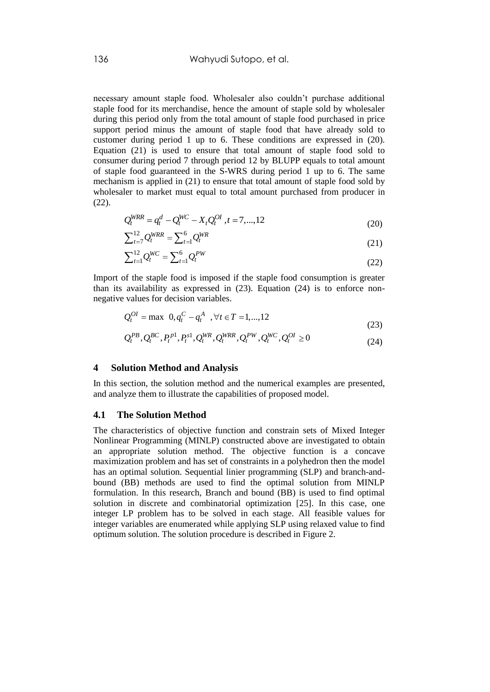necessary amount staple food. Wholesaler also couldn't purchase additional staple food for its merchandise, hence the amount of staple sold by wholesaler during this period only from the total amount of staple food purchased in price support period minus the amount of staple food that have already sold to customer during period 1 up to 6. These conditions are expressed in (20). Equation (21) is used to ensure that total amount of staple food sold to consumer during period 7 through period 12 by BLUPP equals to total amount of staple food guaranteed in the S-WRS during period 1 up to 6. The same mechanism is applied in (21) to ensure that total amount of staple food sold by wholesaler to market must equal to total amount purchased from producer in (22).

$$
Q_t^{WRR} = q_t^d - Q_t^{WC} - X_t Q_t^{OL}, t = 7, ..., 12
$$
\n(20)

$$
\sum_{t=7}^{12} Q_t^{WRR} = \sum_{t=1}^{6} Q_t^{WRR}
$$
 (21)

$$
\sum_{t=1}^{12} Q_t^{WC} = \sum_{t=1}^{6} Q_t^{PW}
$$
\n(22)

Import of the staple food is imposed if the staple food consumption is greater than its availability as expressed in (23). Equation (24) is to enforce nonnegative values for decision variables.

$$
Q_t^{OI} = \max \ 0, q_t^C - q_t^A \ \ , \forall t \in T = 1,...,12
$$
 (23)

$$
Q_t^{PB}, Q_t^{BC}, P_t^{pl}, P_t^{sl}, Q_t^{WR}, Q_t^{WR}, Q_t^{PW}, Q_t^{WC}, Q_t^{OL} \ge 0
$$
\n
$$
(23)
$$
\n
$$
(24)
$$

#### **4 Solution Method and Analysis**

In this section, the solution method and the numerical examples are presented, and analyze them to illustrate the capabilities of proposed model.

#### **4.1 The Solution Method**

The characteristics of objective function and constrain sets of Mixed Integer Nonlinear Programming (MINLP) constructed above are investigated to obtain an appropriate solution method. The objective function is a concave maximization problem and has set of constraints in a polyhedron then the model has an optimal solution. Sequential linier programming (SLP) and branch-andbound (BB) methods are used to find the optimal solution from MINLP formulation. In this research, Branch and bound (BB) is used to find optimal solution in discrete and combinatorial optimization [25]. In this case, one integer LP problem has to be solved in each stage. All feasible values for integer variables are enumerated while applying SLP using relaxed value to find optimum solution. The solution procedure is described in Figure 2.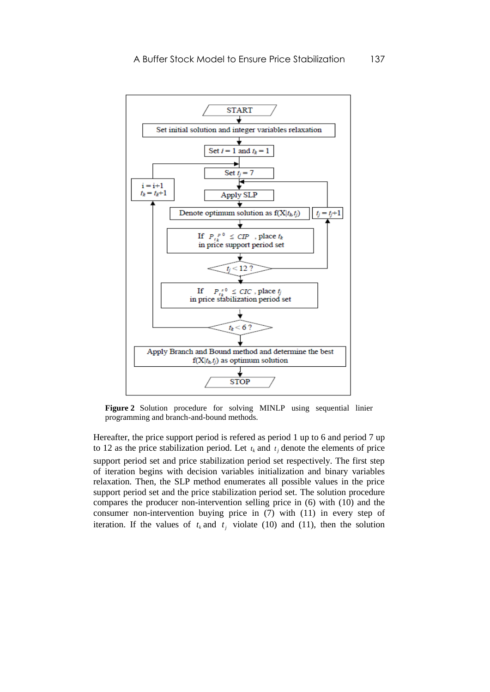

**Figure 2** Solution procedure for solving MINLP using sequential linier programming and branch-and-bound methods.

Hereafter, the price support period is refered as period 1 up to 6 and period 7 up to 12 as the price stabilization period. Let  $t_k$  and  $t_j$  denote the elements of price support period set and price stabilization period set respectively. The first step of iteration begins with decision variables initialization and binary variables relaxation. Then, the SLP method enumerates all possible values in the price support period set and the price stabilization period set. The solution procedure compares the producer non-intervention selling price in (6) with (10) and the consumer non-intervention buying price in (7) with (11) in every step of iteration. If the values of  $t_k$  and  $t_j$  violate (10) and (11), then the solution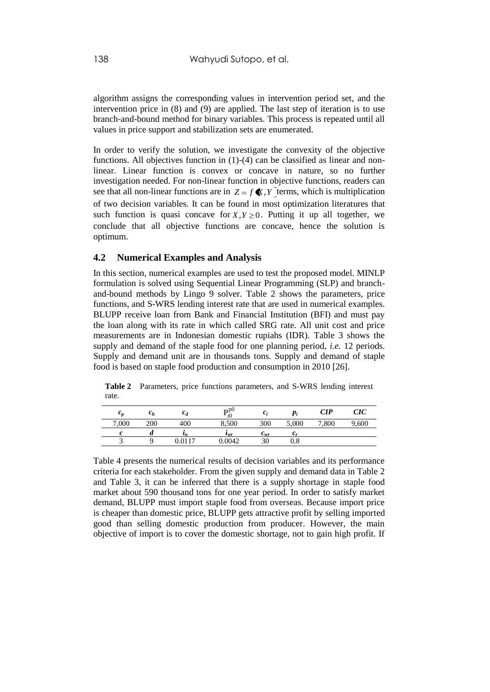algorithm assigns the corresponding values in intervention period set, and the intervention price in (8) and (9) are applied. The last step of iteration is to use branch-and-bound method for binary variables. This process is repeated until all values in price support and stabilization sets are enumerated.

In order to verify the solution, we investigate the convexity of the objective functions. All objectives function in (1)-(4) can be classified as linear and nonlinear. Linear function is convex or concave in nature, so no further investigation needed. For non-linear function in objective functions, readers can see that all non-linear functions are in  $Z = f \mathbf{K}$ , *Y* terms, which is multiplication of two decision variables. It can be found in most optimization literatures that such function is quasi concave for  $X, Y \geq 0$ . Putting it up all together, we conclude that all objective functions are concave, hence the solution is optimum.

#### **4.2 Numerical Examples and Analysis**

In this section, numerical examples are used to test the proposed model. MINLP formulation is solved using Sequential Linear Programming (SLP) and branchand-bound methods by Lingo 9 solver. Table 2 shows the parameters, price functions, and S-WRS lending interest rate that are used in numerical examples. BLUPP receive loan from Bank and Financial Institution (BFI) and must pay the loan along with its rate in which called SRG rate. All unit cost and price measurements are in Indonesian domestic rupiahs (IDR). Table 3 shows the supply and demand of the staple food for one planning period, *i.e.* 12 periods. Supply and demand unit are in thousands tons. Supply and demand of staple food is based on staple food production and consumption in 2010 [26].

|       | $\mathbf{v}_h$ | $c_a$    | $\mathbf{D}^{p0}$<br>t() | c                          | $p_i$     | CIP  | CIC |
|-------|----------------|----------|--------------------------|----------------------------|-----------|------|-----|
| 7,000 | 200            | 400      | 8,500                    | 300                        | 5,000     | ,800 | 600 |
|       | u              | <b>L</b> | $\iota_{wr}$             | $\mathbf{v}_{\mathit{wr}}$ | с.        |      |     |
|       |                | 0117     | 0.0042                   | 30                         | $\rm 0.8$ |      |     |

**Table 2** Parameters, price functions parameters, and S-WRS lending interest rate.

Table 4 presents the numerical results of decision variables and its performance criteria for each stakeholder. From the given supply and demand data in Table 2 and Table 3, it can be inferred that there is a supply shortage in staple food market about 590 thousand tons for one year period. In order to satisfy market demand, BLUPP must import staple food from overseas. Because import price is cheaper than domestic price, BLUPP gets attractive profit by selling imported good than selling domestic production from producer. However, the main objective of import is to cover the domestic shortage, not to gain high profit. If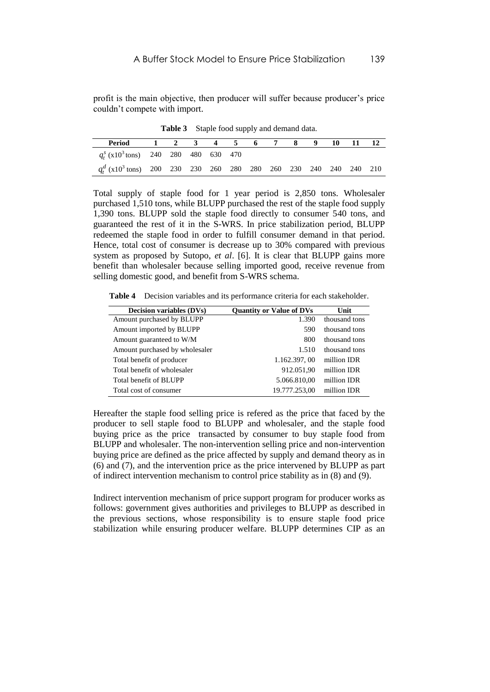profit is the main objective, then producer will suffer because producer's price couldn't compete with import.

| Period                                                                          | 1 2 3 4 5 6 7 8 9 |  |  |  |  | 10 | - 11 |  |
|---------------------------------------------------------------------------------|-------------------|--|--|--|--|----|------|--|
| $q_t^s$ (x10 <sup>3</sup> tons) 240 280 480 630 470                             |                   |  |  |  |  |    |      |  |
| $q_t^d$ (x10 <sup>3</sup> tons) 200 230 230 260 280 280 260 230 240 240 240 210 |                   |  |  |  |  |    |      |  |

**Table 3** Staple food supply and demand data.

Total supply of staple food for 1 year period is 2,850 tons. Wholesaler purchased 1,510 tons, while BLUPP purchased the rest of the staple food supply 1,390 tons. BLUPP sold the staple food directly to consumer 540 tons, and guaranteed the rest of it in the S-WRS. In price stabilization period, BLUPP redeemed the staple food in order to fulfill consumer demand in that period. Hence, total cost of consumer is decrease up to 30% compared with previous system as proposed by Sutopo, *et al*. [6]. It is clear that BLUPP gains more benefit than wholesaler because selling imported good, receive revenue from selling domestic good, and benefit from S-WRS schema.

**Table 4** Decision variables and its performance criteria for each stakeholder.

| <b>Decision variables (DVs)</b> | <b>Quantity or Value of DVs</b> | Unit          |
|---------------------------------|---------------------------------|---------------|
| Amount purchased by BLUPP       | 1.390                           | thousand tons |
| Amount imported by BLUPP        | 590                             | thousand tons |
| Amount guaranteed to W/M        | 800                             | thousand tons |
| Amount purchased by wholesaler  | 1.510                           | thousand tons |
| Total benefit of producer       | 1.162.397, 00                   | million IDR   |
| Total benefit of wholesaler     | 912.051,90                      | million IDR   |
| Total benefit of BLUPP          | 5.066.810,00                    | million IDR   |
| Total cost of consumer          | 19.777.253,00                   | million IDR   |

Hereafter the staple food selling price is refered as the price that faced by the producer to sell staple food to BLUPP and wholesaler, and the staple food buying price as the price transacted by consumer to buy staple food from BLUPP and wholesaler. The non-intervention selling price and non-intervention buying price are defined as the price affected by supply and demand theory as in (6) and (7), and the intervention price as the price intervened by BLUPP as part of indirect intervention mechanism to control price stability as in (8) and (9).

Indirect intervention mechanism of price support program for producer works as follows: government gives authorities and privileges to BLUPP as described in the previous sections, whose responsibility is to ensure staple food price stabilization while ensuring producer welfare. BLUPP determines CIP as an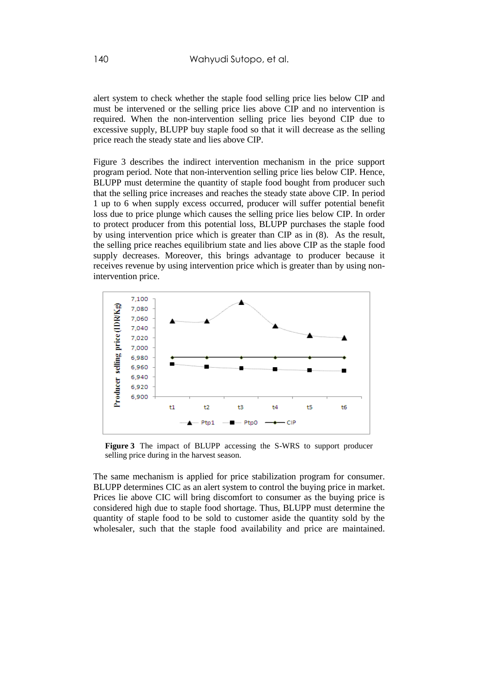alert system to check whether the staple food selling price lies below CIP and must be intervened or the selling price lies above CIP and no intervention is required. When the non-intervention selling price lies beyond CIP due to excessive supply, BLUPP buy staple food so that it will decrease as the selling price reach the steady state and lies above CIP.

Figure 3 describes the indirect intervention mechanism in the price support program period. Note that non-intervention selling price lies below CIP. Hence, BLUPP must determine the quantity of staple food bought from producer such that the selling price increases and reaches the steady state above CIP. In period 1 up to 6 when supply excess occurred, producer will suffer potential benefit loss due to price plunge which causes the selling price lies below CIP. In order to protect producer from this potential loss, BLUPP purchases the staple food by using intervention price which is greater than CIP as in (8). As the result, the selling price reaches equilibrium state and lies above CIP as the staple food supply decreases. Moreover, this brings advantage to producer because it receives revenue by using intervention price which is greater than by using nonintervention price.



**Figure 3** The impact of BLUPP accessing the S-WRS to support producer selling price during in the harvest season.

The same mechanism is applied for price stabilization program for consumer. BLUPP determines CIC as an alert system to control the buying price in market. Prices lie above CIC will bring discomfort to consumer as the buying price is considered high due to staple food shortage. Thus, BLUPP must determine the quantity of staple food to be sold to customer aside the quantity sold by the wholesaler, such that the staple food availability and price are maintained.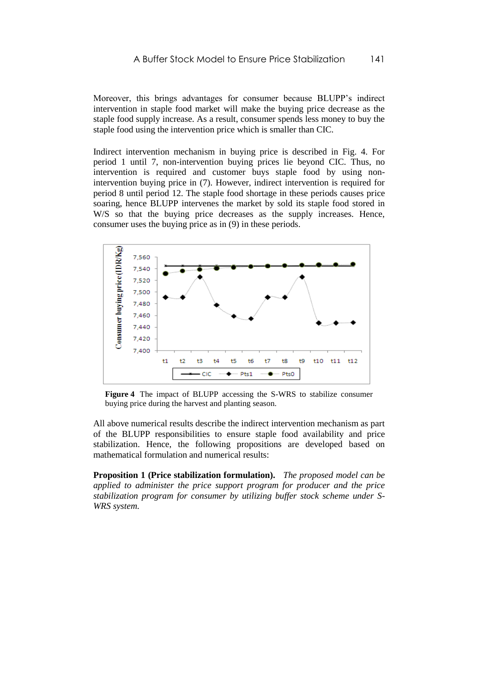Moreover, this brings advantages for consumer because BLUPP's indirect intervention in staple food market will make the buying price decrease as the staple food supply increase. As a result, consumer spends less money to buy the staple food using the intervention price which is smaller than CIC.

Indirect intervention mechanism in buying price is described in Fig. 4. For period 1 until 7, non-intervention buying prices lie beyond CIC. Thus, no intervention is required and customer buys staple food by using nonintervention buying price in (7). However, indirect intervention is required for period 8 until period 12. The staple food shortage in these periods causes price soaring, hence BLUPP intervenes the market by sold its staple food stored in W/S so that the buying price decreases as the supply increases. Hence, consumer uses the buying price as in (9) in these periods.



**Figure 4** The impact of BLUPP accessing the S-WRS to stabilize consumer buying price during the harvest and planting season.

All above numerical results describe the indirect intervention mechanism as part of the BLUPP responsibilities to ensure staple food availability and price stabilization. Hence, the following propositions are developed based on mathematical formulation and numerical results:

**Proposition 1 (Price stabilization formulation).** *The proposed model can be applied to administer the price support program for producer and the price stabilization program for consumer by utilizing buffer stock scheme under S-WRS system.*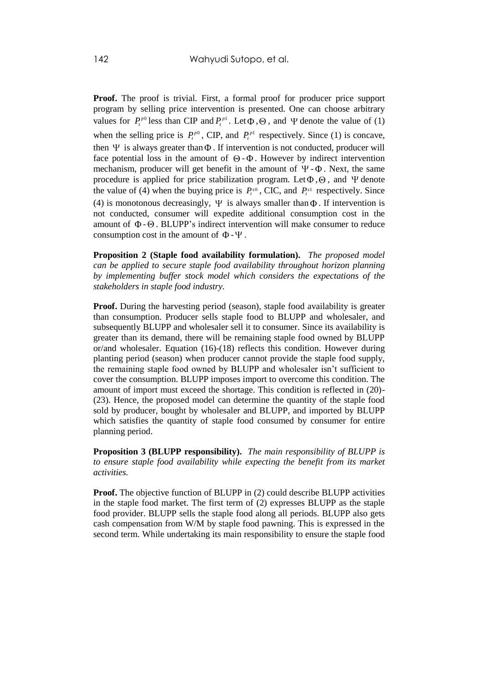**Proof.** The proof is trivial. First, a formal proof for producer price support program by selling price intervention is presented. One can choose arbitrary values for  $P_t^{p0}$  less than CIP and  $P_t^{p1}$ . Let  $\Phi$ ,  $\Theta$ , and  $\Psi$  denote the value of (1) when the selling price is  $P_t^{p0}$ , CIP, and  $P_t^{p1}$  respectively. Since (1) is concave, then  $\Psi$  is always greater than  $\Phi$ . If intervention is not conducted, producer will face potential loss in the amount of  $\Theta$ - $\Phi$ . However by indirect intervention mechanism, producer will get benefit in the amount of  $\Psi$ - $\Phi$ . Next, the same procedure is applied for price stabilization program. Let  $\Phi$ ,  $\Theta$ , and  $\Psi$  denote the value of (4) when the buying price is  $P_t^{s0}$ , CIC, and  $P_t^{s1}$  respectively. Since (4) is monotonous decreasingly,  $\Psi$  is always smaller than  $\Phi$ . If intervention is not conducted, consumer will expedite additional consumption cost in the amount of  $\Phi$  -  $\Theta$ . BLUPP's indirect intervention will make consumer to reduce consumption cost in the amount of  $\Phi - \Psi$ .

**Proposition 2 (Staple food availability formulation).** *The proposed model can be applied to secure staple food availability throughout horizon planning by implementing buffer stock model which considers the expectations of the stakeholders in staple food industry.* 

**Proof.** During the harvesting period (season), staple food availability is greater than consumption. Producer sells staple food to BLUPP and wholesaler, and subsequently BLUPP and wholesaler sell it to consumer. Since its availability is greater than its demand, there will be remaining staple food owned by BLUPP or/and wholesaler. Equation  $(16)-(18)$  reflects this condition. However during planting period (season) when producer cannot provide the staple food supply, the remaining staple food owned by BLUPP and wholesaler isn't sufficient to cover the consumption. BLUPP imposes import to overcome this condition. The amount of import must exceed the shortage. This condition is reflected in (20)- (23). Hence, the proposed model can determine the quantity of the staple food sold by producer, bought by wholesaler and BLUPP, and imported by BLUPP which satisfies the quantity of staple food consumed by consumer for entire planning period.

**Proposition 3 (BLUPP responsibility).** *The main responsibility of BLUPP is to ensure staple food availability while expecting the benefit from its market activities.*

**Proof.** The objective function of BLUPP in (2) could describe BLUPP activities in the staple food market. The first term of (2) expresses BLUPP as the staple food provider. BLUPP sells the staple food along all periods. BLUPP also gets cash compensation from W/M by staple food pawning. This is expressed in the second term. While undertaking its main responsibility to ensure the staple food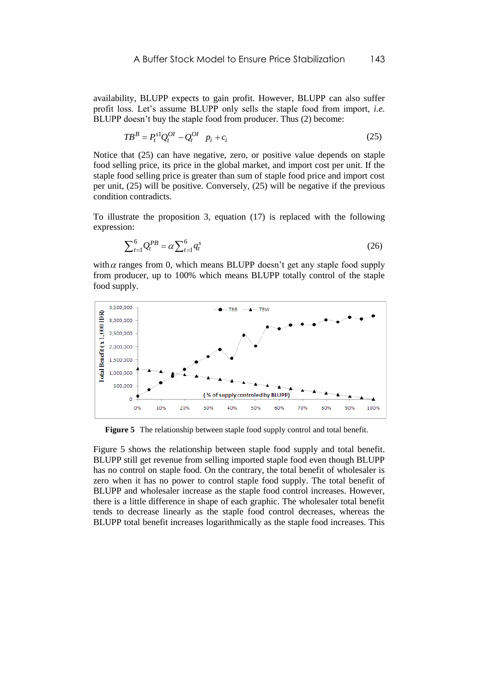availability, BLUPP expects to gain profit. However, BLUPP can also suffer profit loss. Let's assume BLUPP only sells the staple food from import, *i.e.* BLUPP doesn't buy the staple food from producer. Thus (2) become:

$$
TB^B = P_t^{s1} Q_t^{OI} - Q_t^{OI} \quad p_i + c_i \tag{25}
$$

Notice that (25) can have negative, zero, or positive value depends on staple food selling price, its price in the global market, and import cost per unit. If the staple food selling price is greater than sum of staple food price and import cost per unit, (25) will be positive. Conversely, (25) will be negative if the previous condition contradicts.

To illustrate the proposition 3, equation (17) is replaced with the following expression:

$$
\sum_{t=1}^{6} Q_t^{PB} = \alpha \sum_{t=1}^{6} q_t^s \tag{26}
$$

with  $\alpha$  ranges from 0, which means BLUPP doesn't get any staple food supply from producer, up to 100% which means BLUPP totally control of the staple food supply.



**Figure 5** The relationship between staple food supply control and total benefit.

Figure 5 shows the relationship between staple food supply and total benefit. BLUPP still get revenue from selling imported staple food even though BLUPP has no control on staple food. On the contrary, the total benefit of wholesaler is zero when it has no power to control staple food supply. The total benefit of BLUPP and wholesaler increase as the staple food control increases. However, there is a little difference in shape of each graphic. The wholesaler total benefit tends to decrease linearly as the staple food control decreases, whereas the BLUPP total benefit increases logarithmically as the staple food increases. This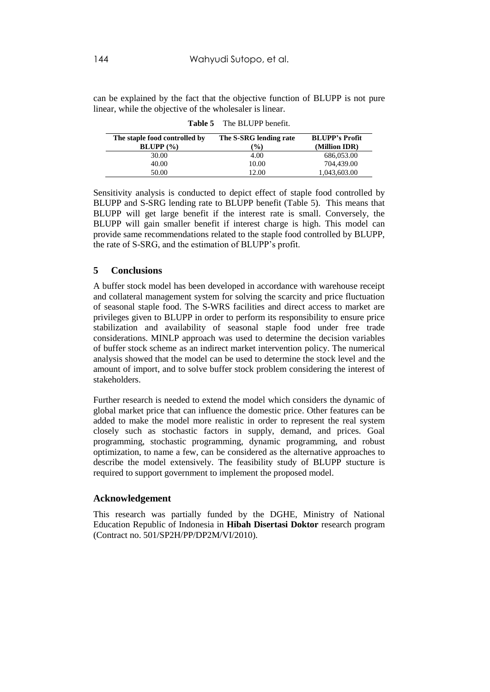can be explained by the fact that the objective function of BLUPP is not pure linear, while the objective of the wholesaler is linear.

| The staple food controlled by<br>$BLUPP$ $(\frac{9}{6})$ | The S-SRG lending rate<br>$\frac{9}{0}$ | <b>BLUPP's Profit</b><br>(Million IDR) |
|----------------------------------------------------------|-----------------------------------------|----------------------------------------|
| 30.00                                                    | 4.00                                    | 686,053.00                             |
| 40.00                                                    | 10.00                                   | 704.439.00                             |
| 50.00                                                    | 12.00                                   | 1,043,603.00                           |

**Table 5** The BLUPP benefit.

Sensitivity analysis is conducted to depict effect of staple food controlled by BLUPP and S-SRG lending rate to BLUPP benefit (Table 5). This means that BLUPP will get large benefit if the interest rate is small. Conversely, the BLUPP will gain smaller benefit if interest charge is high. This model can provide same recommendations related to the staple food controlled by BLUPP, the rate of S-SRG, and the estimation of BLUPP's profit.

## **5 Conclusions**

A buffer stock model has been developed in accordance with warehouse receipt and collateral management system for solving the scarcity and price fluctuation of seasonal staple food. The S-WRS facilities and direct access to market are privileges given to BLUPP in order to perform its responsibility to ensure price stabilization and availability of seasonal staple food under free trade considerations. MINLP approach was used to determine the decision variables of buffer stock scheme as an indirect market intervention policy. The numerical analysis showed that the model can be used to determine the stock level and the amount of import, and to solve buffer stock problem considering the interest of stakeholders.

Further research is needed to extend the model which considers the dynamic of global market price that can influence the domestic price. Other features can be added to make the model more realistic in order to represent the real system closely such as stochastic factors in supply, demand, and prices. Goal programming, stochastic programming, dynamic programming, and robust optimization, to name a few, can be considered as the alternative approaches to describe the model extensively. The feasibility study of BLUPP stucture is required to support government to implement the proposed model.

## **Acknowledgement**

This research was partially funded by the DGHE, Ministry of National Education Republic of Indonesia in **Hibah Disertasi Doktor** research program (Contract no. 501/SP2H/PP/DP2M/VI/2010).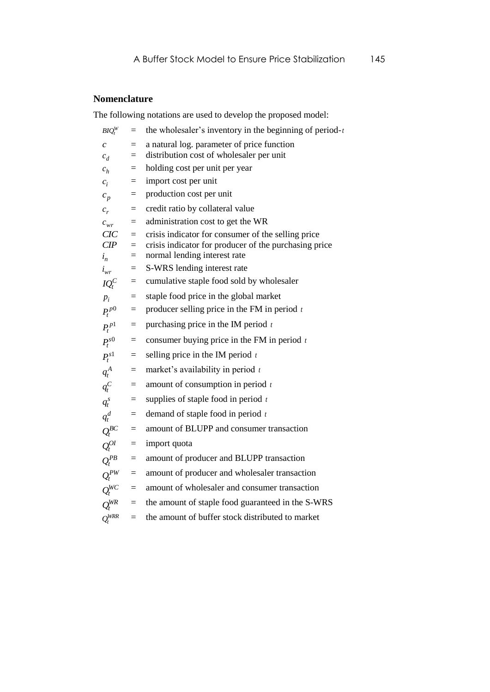# **Nomenclature**

The following notations are used to develop the proposed model:

| $BIO_t^W$              | $=$        | the wholesaler's inventory in the beginning of period- $t$                             |
|------------------------|------------|----------------------------------------------------------------------------------------|
| $\mathcal{C}$<br>$c_d$ | $=$<br>$=$ | a natural log. parameter of price function<br>distribution cost of wholesaler per unit |
| $c_h$                  | $\equiv$   | holding cost per unit per year                                                         |
| $c_i$                  | $=$        | import cost per unit                                                                   |
| $c_p$                  | $=$        | production cost per unit                                                               |
| $c_r$                  | $=$        | credit ratio by collateral value                                                       |
| $c_{wr}$               | $=$        | administration cost to get the WR                                                      |
| CIC                    | $=$        | crisis indicator for consumer of the selling price                                     |
| CIP                    | $=$        | crisis indicator for producer of the purchasing price                                  |
| $i_n$                  | $=$        | normal lending interest rate                                                           |
| $i_{wr}$               | $=$        | S-WRS lending interest rate                                                            |
| $IQ_t^C$               | $=$        | cumulative staple food sold by wholesaler                                              |
| $p_i$                  | $=$        | staple food price in the global market                                                 |
| $P_t^{p0}$             | $=$        | producer selling price in the FM in period $t$                                         |
| $P_t^{p1}$             | $=$        | purchasing price in the IM period $t$                                                  |
| $P_t^{s0}$             | $=$        | consumer buying price in the FM in period $t$                                          |
| $P_t^{s1}$             | $\equiv$   | selling price in the IM period $t$                                                     |
| $q_t^A$                | $=$        | market's availability in period $t$                                                    |
| $q_t^C$                | $=$        | amount of consumption in period $t$                                                    |
| $q_t^s$                | $=$        | supplies of staple food in period $t$                                                  |
| $q_t^d$                | $=$        | demand of staple food in period $t$                                                    |
| $Q_t^{BC}$             | $=$        | amount of BLUPP and consumer transaction                                               |
| $Q_t^{OI}$             | $=$        | import quota                                                                           |
| $Q_t^{PB}$             | $=$        | amount of producer and BLUPP transaction                                               |
| $Q_t^{PW}$             | $=$        | amount of producer and wholesaler transaction                                          |
| $Q_t^{WC}$             | $=$        | amount of wholesaler and consumer transaction                                          |
| $Q_t^{WR}$             | $=$        | the amount of staple food guaranteed in the S-WRS                                      |
| $Q_t^{WRR}$            | $=$        | the amount of buffer stock distributed to market                                       |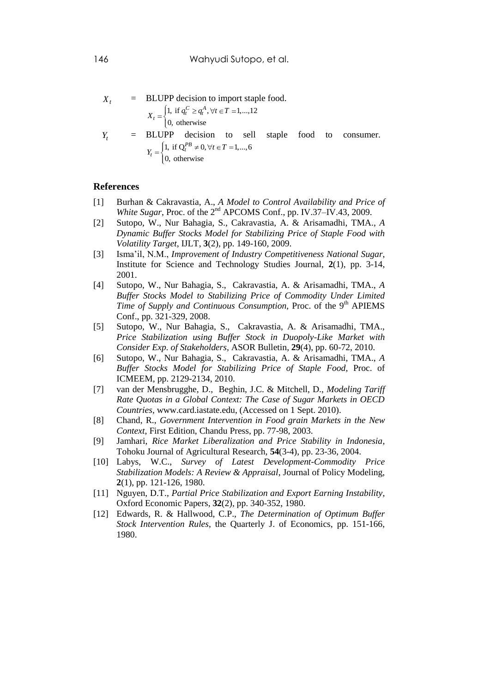$$
X_t = \text{BLUPP decision to import staple food.}
$$
\n
$$
X_t = \begin{cases} 1, \text{ if } q_t^C \ge q_t^A, \forall t \in T = 1, \dots, 12 \\ 0, \text{ otherwise} \end{cases}
$$
\n
$$
Y_t = \text{BLUPP decision to sell staple food to consumer.}
$$
\n
$$
Y_t = \begin{cases} 1, \text{ if } Q_t^{PB} \neq 0, \forall t \in T = 1, \dots, 6 \\ 0, \text{ otherwise} \end{cases}
$$

#### **References**

- [1] Burhan & Cakravastia, A., *A Model to Control Availability and Price of White Sugar*, Proc. of the 2nd APCOMS Conf., pp. IV.37–IV.43, 2009.
- [2] Sutopo, W., Nur Bahagia, S., Cakravastia, A. & Arisamadhi, TMA., *A Dynamic Buffer Stocks Model for Stabilizing Price of Staple Food with Volatility Target*, IJLT, **3**(2), pp. 149-160, 2009.
- [3] Isma'il, N.M., *Improvement of Industry Competitiveness National Sugar*, Institute for Science and Technology Studies Journal, **2**(1), pp. 3-14, 2001.
- [4] Sutopo, W., Nur Bahagia, S., Cakravastia, A. & Arisamadhi, TMA., *A Buffer Stocks Model to Stabilizing Price of Commodity Under Limited Time of Supply and Continuous Consumption, Proc. of the 9<sup>th</sup> APIEMS* Conf., pp. 321-329, 2008.
- [5] Sutopo, W., Nur Bahagia, S., Cakravastia, A. & Arisamadhi, TMA., *Price Stabilization using Buffer Stock in Duopoly-Like Market with Consider Exp. of Stakeholders*, ASOR Bulletin, **29**(4), pp. 60-72, 2010.
- [6] Sutopo, W., Nur Bahagia, S., Cakravastia, A. & Arisamadhi, TMA., *A Buffer Stocks Model for Stabilizing Price of Staple Food*, Proc. of ICMEEM, pp. 2129-2134, 2010.
- [7] van der Mensbrugghe, D., Beghin, J.C. & Mitchell, D., *Modeling Tariff Rate Quotas in a Global Context: The Case of Sugar Markets in OECD Countries*, [www.card.iastate.edu,](http://www.card.iastate.edu/) (Accessed on 1 Sept. 2010).
- [8] Chand, R., *Government Intervention in Food grain Markets in the New Context*, First Edition, Chandu Press, pp. 77-98, 2003.
- [9] Jamhari, *Rice Market Liberalization and Price Stability in Indonesia*, Tohoku Journal of Agricultural Research, **54**(3-4), pp. 23-36, 2004.
- [10] Labys, W.C., *Survey of Latest Development-Commodity Price Stabilization Models: A Review & Appraisal*, Journal of Policy Modeling, **2**(1), pp. 121-126, 1980.
- [11] Nguyen, D.T., *Partial Price Stabilization and Export Earning Instability*, Oxford Economic Papers, **32**(2), pp. 340-352, 1980.
- [12] Edwards, R. & Hallwood, C.P., *The Determination of Optimum Buffer Stock Intervention Rules*, the Quarterly J. of Economics, pp. 151-166, 1980.